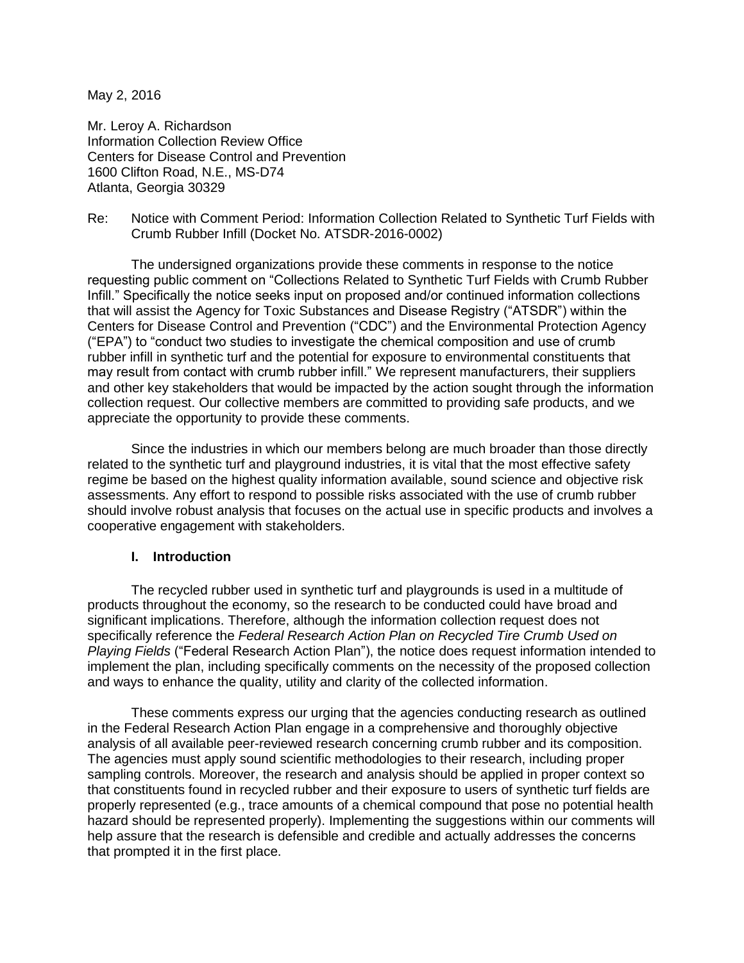May 2, 2016

Mr. Leroy A. Richardson Information Collection Review Office Centers for Disease Control and Prevention 1600 Clifton Road, N.E., MS-D74 Atlanta, Georgia 30329

Re: Notice with Comment Period: Information Collection Related to Synthetic Turf Fields with Crumb Rubber Infill (Docket No. ATSDR-2016-0002)

The undersigned organizations provide these comments in response to the notice requesting public comment on "Collections Related to Synthetic Turf Fields with Crumb Rubber Infill." Specifically the notice seeks input on proposed and/or continued information collections that will assist the Agency for Toxic Substances and Disease Registry ("ATSDR") within the Centers for Disease Control and Prevention ("CDC") and the Environmental Protection Agency ("EPA") to "conduct two studies to investigate the chemical composition and use of crumb rubber infill in synthetic turf and the potential for exposure to environmental constituents that may result from contact with crumb rubber infill." We represent manufacturers, their suppliers and other key stakeholders that would be impacted by the action sought through the information collection request. Our collective members are committed to providing safe products, and we appreciate the opportunity to provide these comments.

Since the industries in which our members belong are much broader than those directly related to the synthetic turf and playground industries, it is vital that the most effective safety regime be based on the highest quality information available, sound science and objective risk assessments. Any effort to respond to possible risks associated with the use of crumb rubber should involve robust analysis that focuses on the actual use in specific products and involves a cooperative engagement with stakeholders.

#### **I. Introduction**

The recycled rubber used in synthetic turf and playgrounds is used in a multitude of products throughout the economy, so the research to be conducted could have broad and significant implications. Therefore, although the information collection request does not specifically reference the *Federal Research Action Plan on Recycled Tire Crumb Used on Playing Fields* ("Federal Research Action Plan"), the notice does request information intended to implement the plan, including specifically comments on the necessity of the proposed collection and ways to enhance the quality, utility and clarity of the collected information.

These comments express our urging that the agencies conducting research as outlined in the Federal Research Action Plan engage in a comprehensive and thoroughly objective analysis of all available peer-reviewed research concerning crumb rubber and its composition. The agencies must apply sound scientific methodologies to their research, including proper sampling controls. Moreover, the research and analysis should be applied in proper context so that constituents found in recycled rubber and their exposure to users of synthetic turf fields are properly represented (e.g., trace amounts of a chemical compound that pose no potential health hazard should be represented properly). Implementing the suggestions within our comments will help assure that the research is defensible and credible and actually addresses the concerns that prompted it in the first place.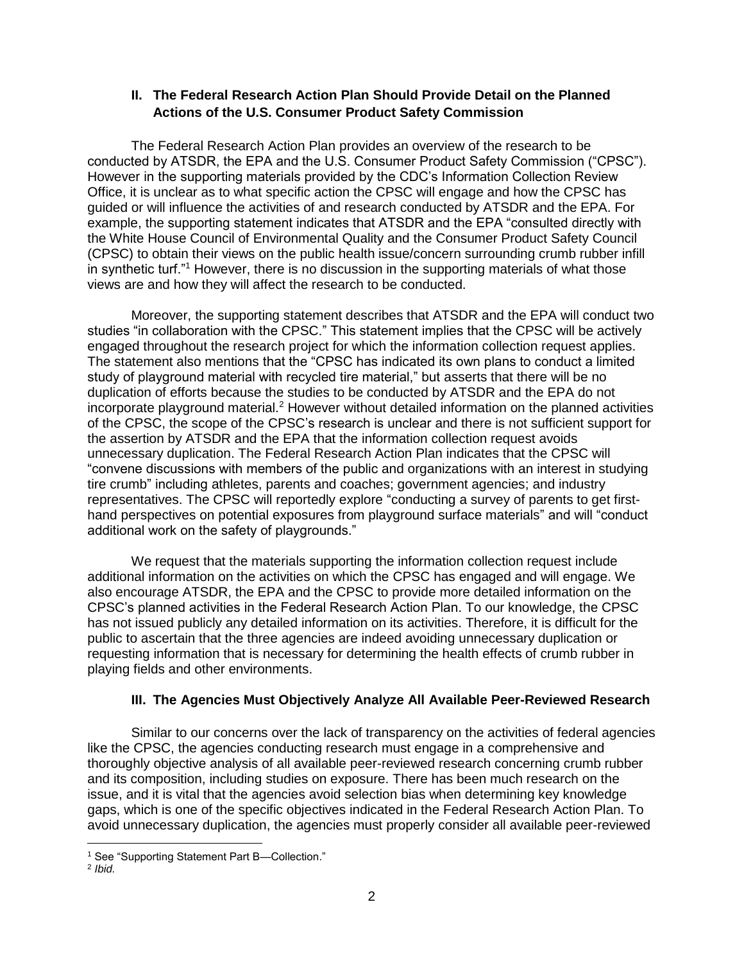## **II. The Federal Research Action Plan Should Provide Detail on the Planned Actions of the U.S. Consumer Product Safety Commission**

The Federal Research Action Plan provides an overview of the research to be conducted by ATSDR, the EPA and the U.S. Consumer Product Safety Commission ("CPSC"). However in the supporting materials provided by the CDC's Information Collection Review Office, it is unclear as to what specific action the CPSC will engage and how the CPSC has guided or will influence the activities of and research conducted by ATSDR and the EPA. For example, the supporting statement indicates that ATSDR and the EPA "consulted directly with the White House Council of Environmental Quality and the Consumer Product Safety Council (CPSC) to obtain their views on the public health issue/concern surrounding crumb rubber infill in synthetic turf."<sup>1</sup> However, there is no discussion in the supporting materials of what those views are and how they will affect the research to be conducted.

Moreover, the supporting statement describes that ATSDR and the EPA will conduct two studies "in collaboration with the CPSC." This statement implies that the CPSC will be actively engaged throughout the research project for which the information collection request applies. The statement also mentions that the "CPSC has indicated its own plans to conduct a limited study of playground material with recycled tire material," but asserts that there will be no duplication of efforts because the studies to be conducted by ATSDR and the EPA do not incorporate playground material.<sup>2</sup> However without detailed information on the planned activities of the CPSC, the scope of the CPSC's research is unclear and there is not sufficient support for the assertion by ATSDR and the EPA that the information collection request avoids unnecessary duplication. The Federal Research Action Plan indicates that the CPSC will "convene discussions with members of the public and organizations with an interest in studying tire crumb" including athletes, parents and coaches; government agencies; and industry representatives. The CPSC will reportedly explore "conducting a survey of parents to get firsthand perspectives on potential exposures from playground surface materials" and will "conduct additional work on the safety of playgrounds."

We request that the materials supporting the information collection request include additional information on the activities on which the CPSC has engaged and will engage. We also encourage ATSDR, the EPA and the CPSC to provide more detailed information on the CPSC's planned activities in the Federal Research Action Plan. To our knowledge, the CPSC has not issued publicly any detailed information on its activities. Therefore, it is difficult for the public to ascertain that the three agencies are indeed avoiding unnecessary duplication or requesting information that is necessary for determining the health effects of crumb rubber in playing fields and other environments.

# **III. The Agencies Must Objectively Analyze All Available Peer-Reviewed Research**

Similar to our concerns over the lack of transparency on the activities of federal agencies like the CPSC, the agencies conducting research must engage in a comprehensive and thoroughly objective analysis of all available peer-reviewed research concerning crumb rubber and its composition, including studies on exposure. There has been much research on the issue, and it is vital that the agencies avoid selection bias when determining key knowledge gaps, which is one of the specific objectives indicated in the Federal Research Action Plan. To avoid unnecessary duplication, the agencies must properly consider all available peer-reviewed

 $\overline{a}$ 

<sup>1</sup> See "Supporting Statement Part B—Collection."

<sup>2</sup> *Ibid.*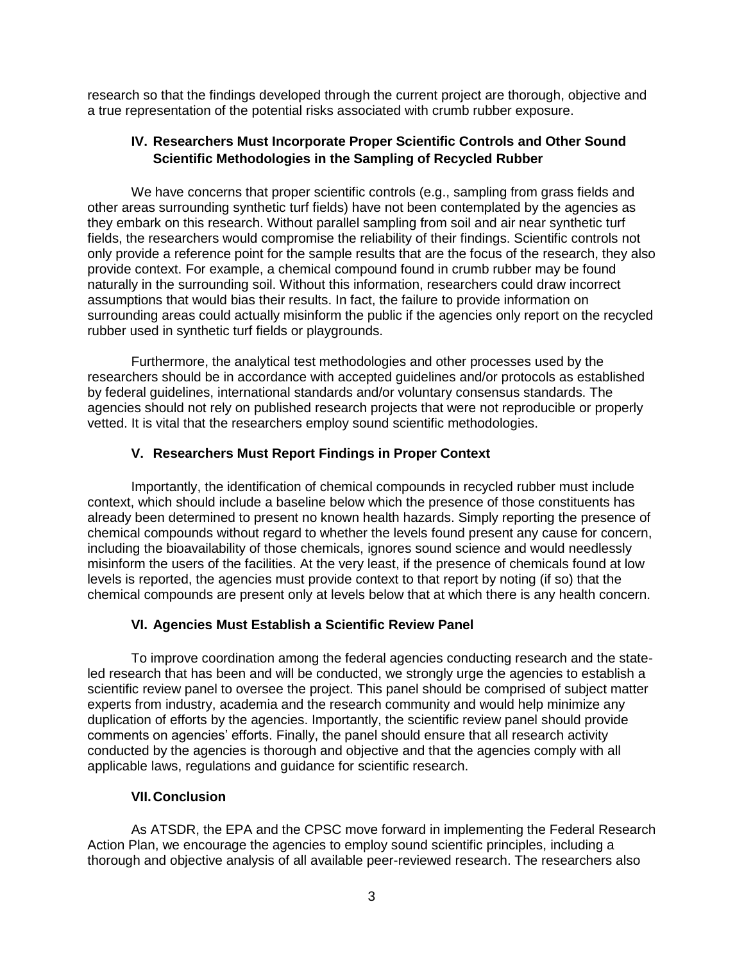research so that the findings developed through the current project are thorough, objective and a true representation of the potential risks associated with crumb rubber exposure.

### **IV. Researchers Must Incorporate Proper Scientific Controls and Other Sound Scientific Methodologies in the Sampling of Recycled Rubber**

We have concerns that proper scientific controls (e.g., sampling from grass fields and other areas surrounding synthetic turf fields) have not been contemplated by the agencies as they embark on this research. Without parallel sampling from soil and air near synthetic turf fields, the researchers would compromise the reliability of their findings. Scientific controls not only provide a reference point for the sample results that are the focus of the research, they also provide context. For example, a chemical compound found in crumb rubber may be found naturally in the surrounding soil. Without this information, researchers could draw incorrect assumptions that would bias their results. In fact, the failure to provide information on surrounding areas could actually misinform the public if the agencies only report on the recycled rubber used in synthetic turf fields or playgrounds.

Furthermore, the analytical test methodologies and other processes used by the researchers should be in accordance with accepted guidelines and/or protocols as established by federal guidelines, international standards and/or voluntary consensus standards. The agencies should not rely on published research projects that were not reproducible or properly vetted. It is vital that the researchers employ sound scientific methodologies.

### **V. Researchers Must Report Findings in Proper Context**

Importantly, the identification of chemical compounds in recycled rubber must include context, which should include a baseline below which the presence of those constituents has already been determined to present no known health hazards. Simply reporting the presence of chemical compounds without regard to whether the levels found present any cause for concern, including the bioavailability of those chemicals, ignores sound science and would needlessly misinform the users of the facilities. At the very least, if the presence of chemicals found at low levels is reported, the agencies must provide context to that report by noting (if so) that the chemical compounds are present only at levels below that at which there is any health concern.

### **VI. Agencies Must Establish a Scientific Review Panel**

To improve coordination among the federal agencies conducting research and the stateled research that has been and will be conducted, we strongly urge the agencies to establish a scientific review panel to oversee the project. This panel should be comprised of subject matter experts from industry, academia and the research community and would help minimize any duplication of efforts by the agencies. Importantly, the scientific review panel should provide comments on agencies' efforts. Finally, the panel should ensure that all research activity conducted by the agencies is thorough and objective and that the agencies comply with all applicable laws, regulations and guidance for scientific research.

### **VII.Conclusion**

As ATSDR, the EPA and the CPSC move forward in implementing the Federal Research Action Plan, we encourage the agencies to employ sound scientific principles, including a thorough and objective analysis of all available peer-reviewed research. The researchers also